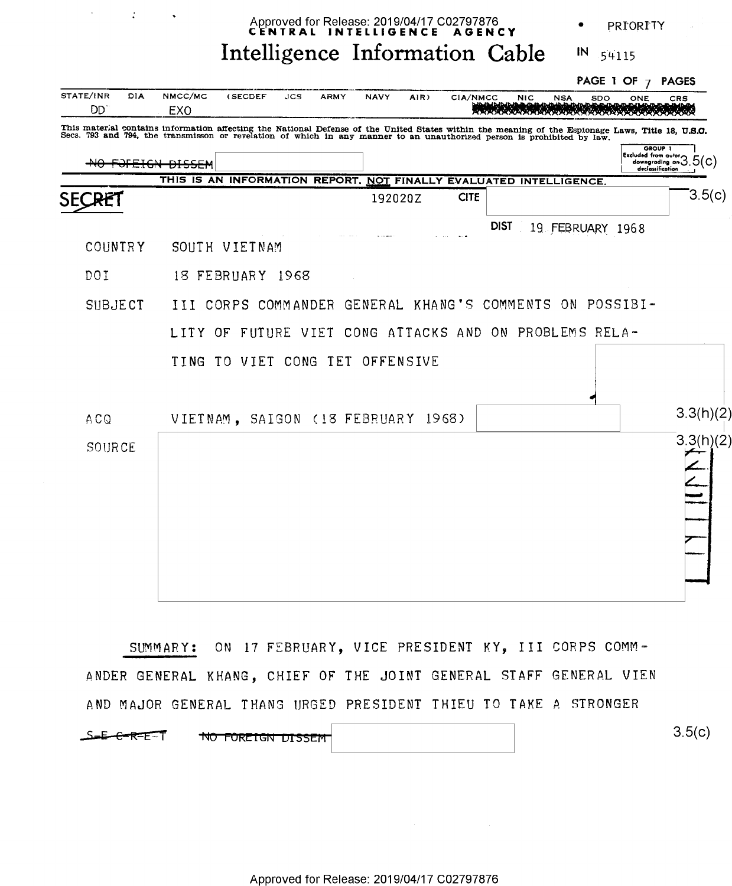|                                                                                                                                                                                                                                                                              | Approved for Release: 2019/04/17 C02797876<br>CENTRAL INTELLIGENCE AGENCY |                   |                                                                    |      |             |             |      |             |  | PRIORITY   |            |            |                                                  |        |
|------------------------------------------------------------------------------------------------------------------------------------------------------------------------------------------------------------------------------------------------------------------------------|---------------------------------------------------------------------------|-------------------|--------------------------------------------------------------------|------|-------------|-------------|------|-------------|--|------------|------------|------------|--------------------------------------------------|--------|
|                                                                                                                                                                                                                                                                              |                                                                           |                   | Intelligence Information Cable                                     |      |             |             |      |             |  |            | IN         | 54115      |                                                  |        |
|                                                                                                                                                                                                                                                                              |                                                                           |                   |                                                                    |      |             |             |      |             |  |            |            | PAGE 1 OF  | <b>PAGES</b>                                     |        |
| STATE/INR<br>DD.                                                                                                                                                                                                                                                             | <b>DIA</b>                                                                | NMCC/MC<br>EXO    | (SECDEF                                                            | JCS. | <b>ARMY</b> | <b>NAVY</b> | AIR) | CIA/NMCC    |  | <b>NIC</b> | <b>NSA</b> | SDO<br>ONE | CRS                                              |        |
| This material contains information affecting the National Defense of the United States within the meaning of the Espionage Laws, Title 18, U.S.C.<br>Secs. 793 and 794, the transmisson or revelation of which in any manner to an unauthorized person is prohibited by law. |                                                                           |                   |                                                                    |      |             |             |      |             |  |            |            |            | GROUP 1                                          |        |
|                                                                                                                                                                                                                                                                              |                                                                           | NO FOFEIGN DISSEM |                                                                    |      |             |             |      |             |  |            |            |            | [Excluded from outor 3.5(C)]<br>declassification |        |
|                                                                                                                                                                                                                                                                              |                                                                           |                   | THIS IS AN INFORMATION REPORT, NOT FINALLY EVALUATED INTELLIGENCE. |      |             |             |      |             |  |            |            |            |                                                  |        |
|                                                                                                                                                                                                                                                                              |                                                                           |                   |                                                                    |      |             | 192020Z     |      | <b>CITE</b> |  |            |            |            |                                                  | 3.5(c) |

COUNTRY SOUTH VIETNAM

SEC

18 FEBRUARY 1968 DOI

SUBJECT III CORPS COMMANDER GENERAL KHANG'S COMMENTS ON POSSIBI-

LITY OF FUTURE VIET CONG ATTACKS AND ON PROBLEMS RELA-

DIST 19 FEBRUARY 1968

|        | TING TO VIET CONG TET OFFENSIVE    |           |
|--------|------------------------------------|-----------|
| ACQ    | VIETNAM, SAIGON (18 FEBRUARY 1968) | 3.3(h)(2) |
| SOURCE |                                    | 3.3(h)(2) |

SUMMARY: ON 17 FEBRUARY, VICE PRESIDENT KY, III CORPS COMM-ANDER GENERAL KHANG, CHIEF OF THE JOINT GENERAL STAFF GENERAL VIEN AND MAJOR GENERAL THANG URGED PRESIDENT THIEU TO TAKE A STRONGER

| $S = E - R - E - T$ | NO FOREIGN DISSEM |  | 3.5(c) |
|---------------------|-------------------|--|--------|
|---------------------|-------------------|--|--------|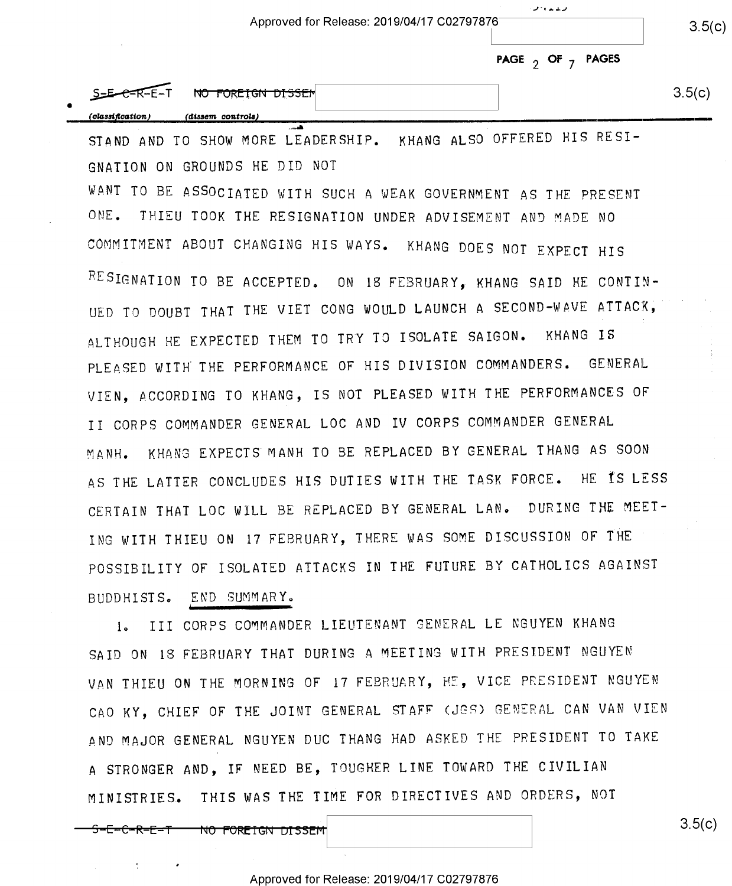|                  | Approved for Release: 2019/04/17 C02797876 |                         |        |  |  |
|------------------|--------------------------------------------|-------------------------|--------|--|--|
|                  |                                            | PAGE $_2$ OF $_7$ PAGES |        |  |  |
|                  | S-E-C-R-E-T NO FOREIGN DISSEN              |                         | 3.5(c) |  |  |
| (classification) | (dissem controls)                          |                         |        |  |  |

فبالقائلة والمنحية

STAND AND TO SHOW MORE LEADERSHIP. KHANG ALSO OFFERED HIS RESI-GNATION ON GROUNDS HE DID NOT

WANT TO BE ASSOCIATED WITH SUCH A WEAK GOVERNMENT AS THE PRESENT ONE. THIEU TOOK THE RESIGNATION UNDER ADVISEMENT AND MADE NO COMMITMENT ABOUT CHANGING HIS WAYS. KHANG DOES NOT EXPECT HIS RESIGNATION TO BE ACCEPTED. ON 18 FEBRUARY, KHANG SAID HE CONTIN-UED TO DOUBT THAT THE VIET CONG WOULD LAUNCH A SECOND-WAVE ATTACK, ALTHOUGH HE EXPECTED THEM TO TRY TO ISOLATE SAIGON. KHANG IS PLEASED WITH THE PERFORMANCE OF HIS DIVISION COMMANDERS. GENERAL VIEN, ACCORDING TO KHANG, IS NOT PLEASED WITH THE PERFORMANCES OF II CORPS COMMANDER GENERAL LOC AND IV CORPS COMMANDER GENERAL MANH. KHANG EXPECTS MANH TO BE REPLACED BY GENERAL THANG AS SOON AS THE LATTER CONCLUDES HIS DUTIES WITH THE TASK FORCE. HE IS LESS CERTAIN THAT LOC WILL BE REPLACED BY GENERAL LAN. DURING THE MEET-ING WITH THIEU ON 17 FEBRUARY, THERE WAS SOME DISCUSSION OF THE POSSIBILITY OF ISOLATED ATTACKS IN THE FUTURE BY CATHOLICS AGAINST BUDDHISTS. END SUMMARY.

III CORPS COMMANDER LIEUTENANT GENERAL LE NGUYEN KHANG  $1<sub>o</sub>$ SAID ON 18 FEBRUARY THAT DURING A MEETING WITH PRESIDENT NGUYEN VAN THIEU ON THE MORNING OF 17 FEBRUARY, HE, VICE PRESIDENT NGUYEN CAO KY, CHIEF OF THE JOINT GENERAL STAFF (JES) GENERAL CAN VAN VIEN AND MAJOR GENERAL NGUYEN DUC THANG HAD ASKED THE PRESIDENT TO TAKE A STRONGER AND, IF NEED BE, TOUGHER LINE TOWARD THE CIVILIAN MINISTRIES. THIS WAS THE TIME FOR DIRECTIVES AND ORDERS, NOT

<del>NO FOREIGN DISSEM</del>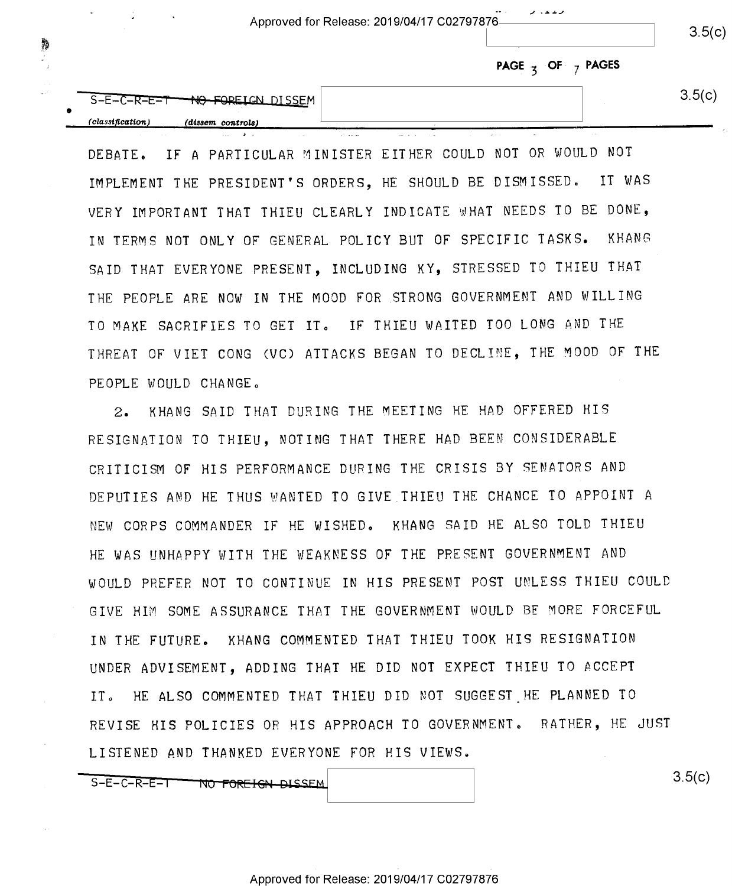Approved for Release: 2019/04/17 C02797876

where the contract of the contract of the contract of the contract of the contract of the contract of the contract of the contract of the contract of the contract of the contract of the contract of the contract of the con

 $3.5(c)$ 

|  |  |  |  | PAGE $\frac{1}{3}$ OF $\frac{1}{7}$ PAGES |
|--|--|--|--|-------------------------------------------|
|--|--|--|--|-------------------------------------------|

| 」ードーヒー<br>コーニーい | --                   | <b>NTCCEM</b> | . ור |
|-----------------|----------------------|---------------|------|
| (classification | $(dissem\ controls)$ |               |      |
|                 |                      |               |      |

D EBATE. IF A PARTICULAR MINISTER EITHER COULD NOT OR WOULD NOT IMPLEMENT THE PRESIDENT'S ORDERS, HE SHOULD BE DISMISSED» IT WAS VERY IMPORTANT THAT THIEU CLEARLY INDICATE WHAT NEEDS TO BE DONE, IN TERMS NOT ONLY OF GENERAL POLICY BUT OF SPECIFIC TASKS. KHANG SAID THAT EVERYONE PRESENT, INCLUDING KY, STRESSED TO THIEU THAT T HE PEOPLE ARE NOW IN THE MOOD FOR STRONG GOVERNMENT AND WILLING TO MAKE SACRIFIES TO GET IT. IF THIEU WAITED TOO LONG AND THE THREAT OF VIET CONG (VC) ATTACKS BEGAN TO DECLINE, THE MOOD OF THE PEOPLE WOULD CHANGE.

2. KHANG SAID THAT DURING THE MEETING HE HAD OFFERED HIS RESIGNATION TO THIEU, NOTING THAT THERE HAD BEEN CONSIDERABLE C RITICISM OF HIS PERFORMANCE DURING THE CRISIS BY SENATORS AND DEPUTIES AND HE THUS WANTED TO GIVE THIEU THE CHANCE TO APPOINT <sup>A</sup> NEW CORPS COMMANDER IF HE WISHED. KHANG SAID HE ALSO TOLD THIEU HE WAS UNHAPPY WITH THE WEAKNESS OF THE PRESENT GOVERNMENT AND WOULD PREFER NOT TO CONTINUE IN HIS PRESENT POST UNLESS THIEU COULD GIVE HIM SOME ASSURANCE THAT THE GOVERNMENT WOULD BE MORE FORCEFUL I <sup>N</sup>THE FUTURE. KHANG COMMENTED THAT THIEU TOOK HIS RESIGNATION U NDER ADVISEMENT, ADDING THAT HE DID NOT EXPECT THIEU TO ACCEPT IT. HE ALSO COMMENTED THAT THIEU DID NOT SUGGEST HE PLANNED TO REVISE HIS POLICIES OR HIS APPROACH TO GOVERNMENT, RATHER, HE JUST L ISTENED AND THANKED EVERYONE FOR HIS VIEWS.

S-E-C-R-E-T-TWO FOREIGN DISSEM

 $3.5(c)$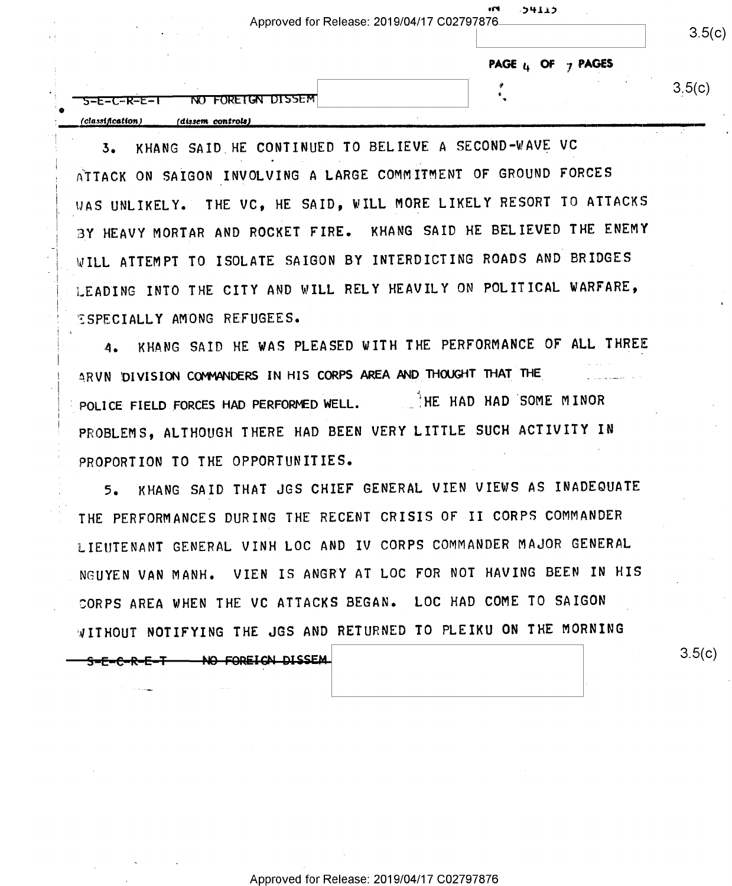|                  |                   | - 114<br>・コリエエン<br>Approved for Release: 2019/04/17 C02797876 |        |  |  |
|------------------|-------------------|---------------------------------------------------------------|--------|--|--|
|                  |                   | PAGE $\mathfrak{u}$ OF $\gamma$ PAGES                         |        |  |  |
| 5-E-C-R-E-1<br>۰ | NO FOREIGN DISSEM |                                                               | 3.5(c) |  |  |
| (classification) | (dissem controls) |                                                               |        |  |  |

3- KHANG SAID HE CONTINUED TO BELIEVE A SECOND-WAVE VC ATTACK ON SAIGON INVOLVING A LARGE COMMITMENT OF GROUND FORCES 'WAS UNLIKELY. THE VC, HE SAID, WILL MORE LIKELY RESORT TO ATTACKS BY HEAVY MORTAR AND ROCKET FIRE. KHANG SAID HE BELIEVED THE ENEMY WILL ATTEMPT TO ISOLATE SAIGON BY INTERDICTING ROADS AND BRIDGES LEADING INTO THE CITY AND WILL RELY HEAVILY ON POLITICAL WARFARE, ESPECIALLY AMONG REFUGEES.

4. KHANG SAID HE WAS PLEASED WITH THE PERFORMANCE OF ALL THREE ARVN DIVISION COMMANDERS IN HIS CORPS AREA AND THOUGHT THAT THE POLICE FIELD FORCES HAD PERFORMED WELL. HE HAD HAD SOME MINOR PROBLEMS, ALTHOUGH THERE HAD BEEN VERY LITTLE SUCH ACTIVITY IN PROPORTION TO THE OPPORTUNITIES.

5. KHANG SAID THAT JGS CHIEF GENERAL VIEN VIEWS AS INADEOUATE THE PERFORMANCES DURING THE RECENT CRISIS OF II CORPS COMMANDER LIEUTENANT GENERAL VINH LOC AND IV CORPS COMMANDER MAJOR GENERAL NGUYEN VAN MANH. VIEN IS ANGRY AT LOC FOR NOT HAVING BEEN IN HIS CORPS AREA WHEN THE VC ATTACKS BEGAN. LOC HAD COME TO SAIGON NITHOUT NOTIFYING THE JGS AND RETURNED To PLEIKU ON THE MORNING

S-E-C-R-E-T NO FOREIGN DISSEM

 $3.5(c)$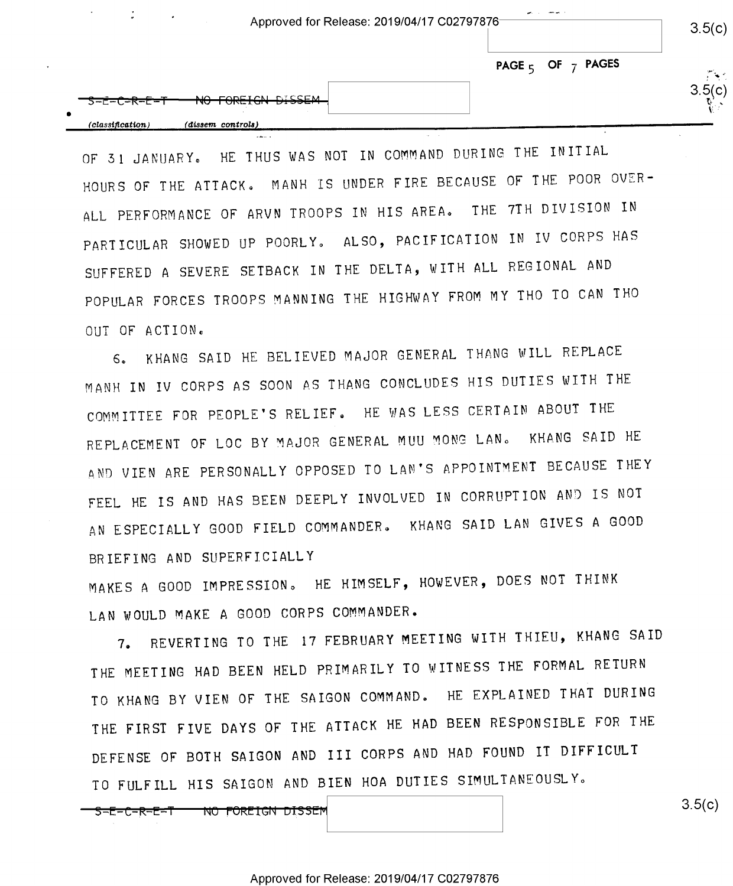Approved for Release: 2019/04/17 002797876

 $3.5(c)$ 

ربېت.

 $P_{\perp} \sim$ 

 $\overline{\phantom{a}}$ 

I'

PAGE  $5$  OF  $7$  PAGES

2. <del>. .</del> .

0 »  $(classification)$  (dissem controls)

 $\mathcal{L}(\mathcal{L}^{\text{max}})$  , where  $\mathcal{L}^{\text{max}}$ 

OF 31 JANUARY. HE THUS WAS NOT IN COMMAND DURING THE INITIAL HOURS OF THE ATTACK. MANH IS UNDER FIRE BECAUSE OF THE POOR OVER-ALL PERFORMANCE OF ARVN TROOPS IN HIS AREA. THE 7TH DIVISION IN PARTICULAR SHOWED UP POORLY. ALSO, PACIFICATION IN IV CORPS HAS SUFFERED A SEVERE SETBACK IN THE DELTA, WITH ALL REGIONAL AND POPULAR FORCES TROOPS MANNING THE HIGHWAY FROM MY THO TO CAN THO OUT OF ACTION.

6. KHANG SAID HE BELIEVED MAJOR GENERAL THANG WILL REPLACE MANH IN IV CORPS AS SOON AS THANG CONCLUDES HIS DUTIES WITH THE COMMITTEE FOR PEOPLE'S RELIEF. HE WAS LESS CERTAIN ABOUT THE REPLACEMENT OF LOC BY MAJOR GENERAL MUU MONG LANG KHANG SAID HE AND VIEN ARE PERSONALLY OPPOSED TO LAN'S APPOINTMENT BECAUSE THEY FEEL HE IS AND HAS BEEN DEEPLY INVOLVED IN CORRUPTION AND IS NOT AN ESPECIALLY GOOD FIELD COMMANDER. KHANG SAID LAN GIVES A GOOD BRIEFING AND SUPERFICIALLY

MAKES A GOOD IMPRESSION. HE HIMSELF, HOWEVER, DOES NOT THINK LAN WOULD MAKE A GOOD CORPS COMMANDER.

7. REVERTING TO THE 17 FEBRUARY MEETING WITH THIEU, KHANG SAID THE MEETING HAD BEEN HELD PRIMARILY TO WITNESS THE FORMAL RETURN TO KHANG BY VIEN OF THE SAIGON COMMAND. HE EXPLAINED THAT DURING THE FIRST FIVE DAYS OF THE ATTACK HE HAD BEEN RESPONSIBLE FOR THE DEFENSE OF BOTH SAIGON AND III CORPS AND HAD FOUND IT DIFFICULT TO FULFILL HIS SAIGON AND BIEN HOA DUTIES SIMULTANEOUSLY.

<del>S-E-C-R-E-T – NO FOREIGN DISSEM</del>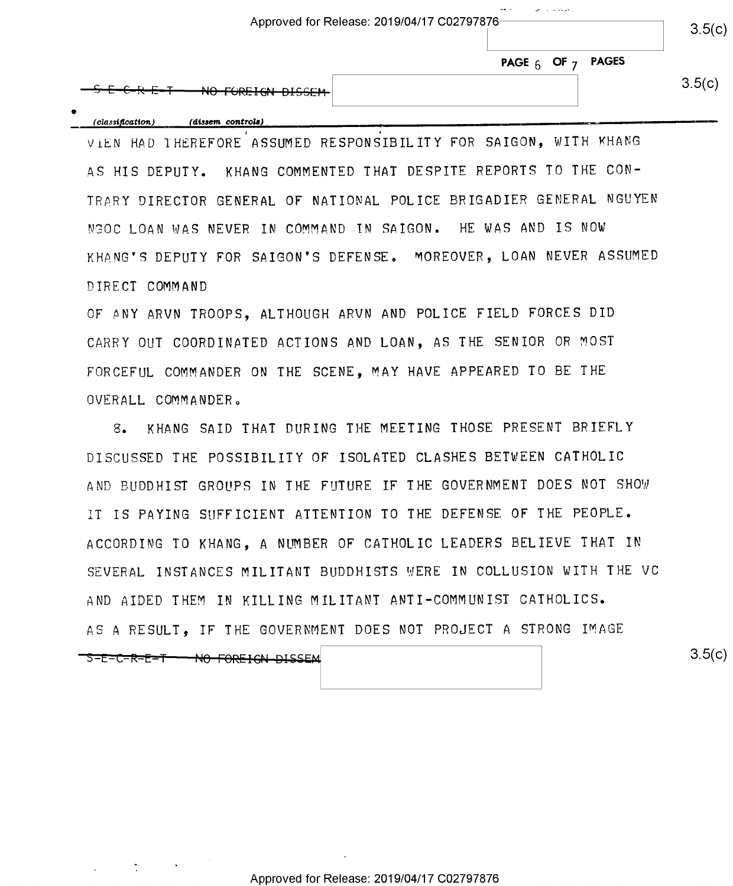|                   | $\cdots$<br>and the second state of the state of the<br>Approved for Release: 2019/04/17 C02797876- |        |  |  |  |
|-------------------|-----------------------------------------------------------------------------------------------------|--------|--|--|--|
|                   | PAGE $_6$ OF $_7$ PAGES                                                                             | 3.5(c) |  |  |  |
| NO FOREIGN DISSEM |                                                                                                     | 3.5(c) |  |  |  |

 $\bullet$  $\mathcal{L}(classification)$  (dissem controls)  $\blacksquare$ 

VIEN HAD THEREFORE ASSUMED RESPONSIBILITY FOR SAIGON, WITH KHANG AS HIS DEPUTY. KHANG COMMENTED THAT DESPITE REPORTS TO THE CON-TRARY DIRECTOR GENERAL OF NATIONAL POLICE BRIGADIER GENERAL NGUYEN NGOC LOAN WAS NEVER IN COMMAND IN SAIGON. HE WAS AND IS NON KHANG'S DEPUTY FOR SAIGON'S DEFENSE, MOREOVER, LOAN NEVER ASSUMED DIRECT COMMAND

OF ANY ARVN TROOPS, ALTHOUGH ARVN AND POLICE FIELD FORCES DID CARRY OUT COORDINATED ACTIONS AND LOAN, AS THE SENIOR OR MOST FORCEFUL COMMANDER ON THE SCENE, MAY HAVE APPEARED TO BE THE OVERALL COMMANDER.

8. KHANG SAID THAT DURING THE MEETING THOSE PRESENT BRIEFLY DISCUSSED THE POSSIBILITY OF ISOLATED CLASHES BETWEEN CATHOLIC AND BUDDHIST GROUPS IN THE FUTURE IF THE GOVERNMENT DOES NOT SHOW IT IS PAYING SUFFICIENT ATTENTION TO THE DEFENSE OF THE PEOPLE. ACCORDING TO KHANG, A NUMBER OF CATHOLIC LEADERS BELIEVE THAT IN SEVERAL INSTANCES MILITANT BUDDHISTS WERE IN COLLUSION WITH THE VC AND AIDED THEM IN KILLING MILITANT ANTI-COMMUNIST CATHOLICS. AS A RESULT, IF THE GOVERNMENT DOES NOT PROJECT A STRONG IMAGE

-S-E-C-R-E-T---NO-FOREIGN DISSEM

 $3.5(c)$